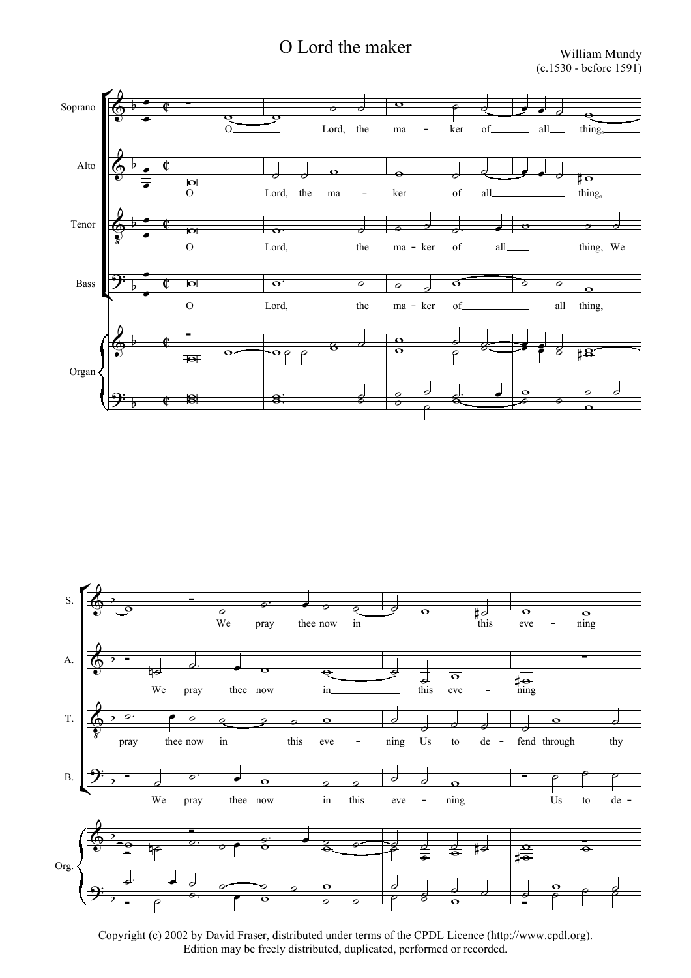## O Lord the maker William Mundy

(c.1530 - before 1591)





Copyright (c) 2002 by David Fraser, distributed under terms of the CPDL Licence (http://www.cpdl.org). Edition may be freely distributed, duplicated, performed or recorded.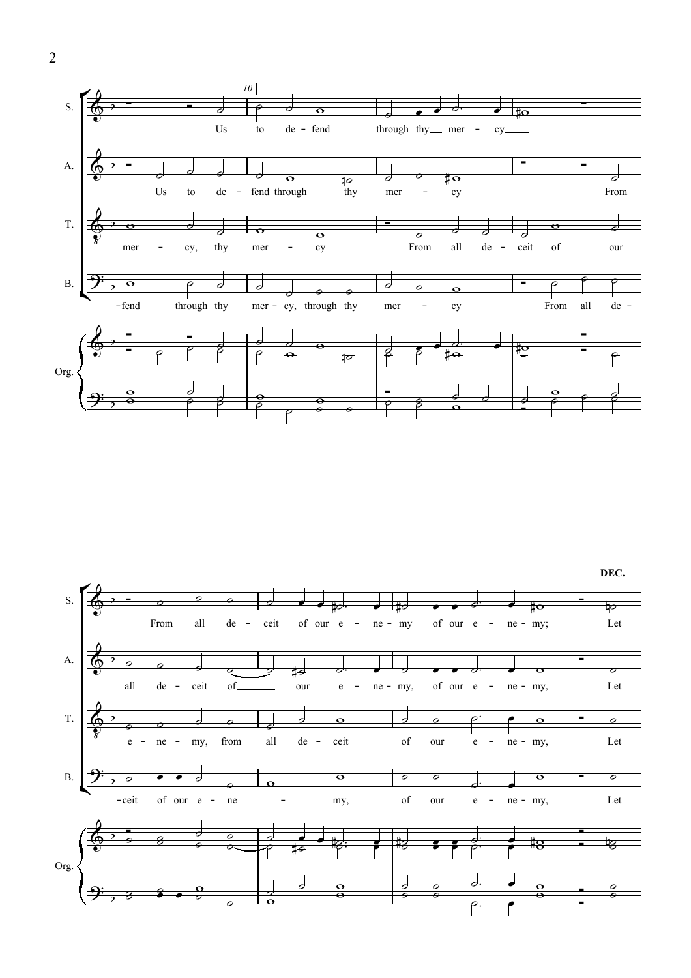

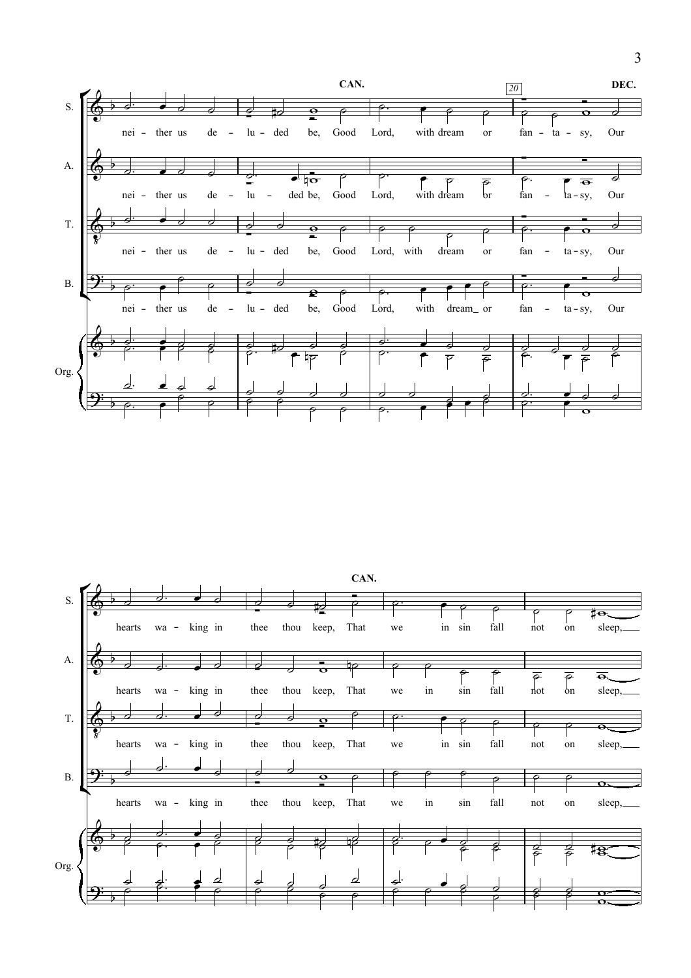



3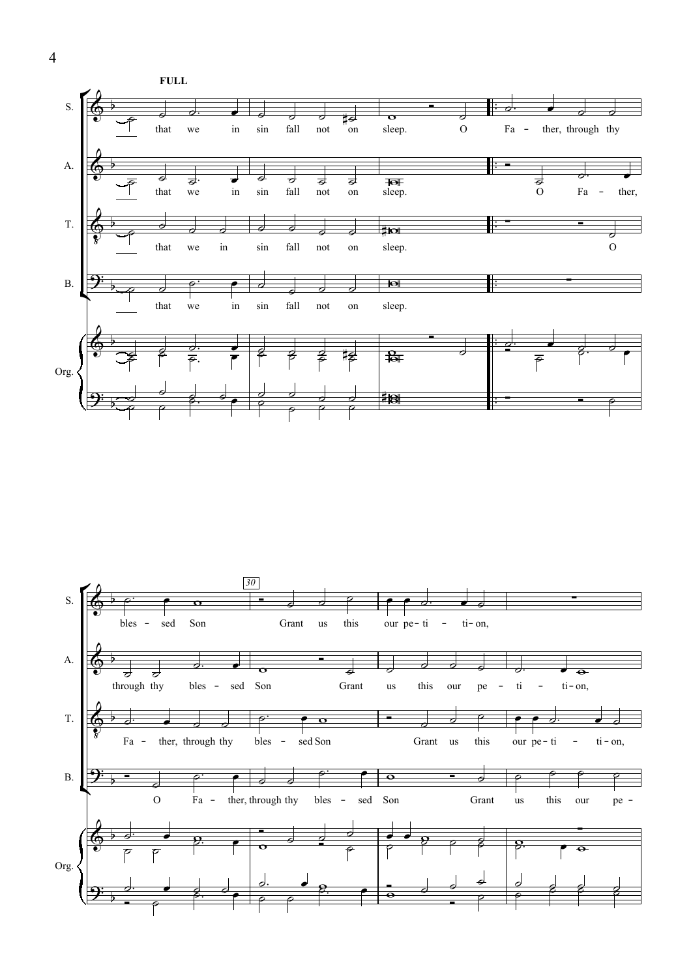



4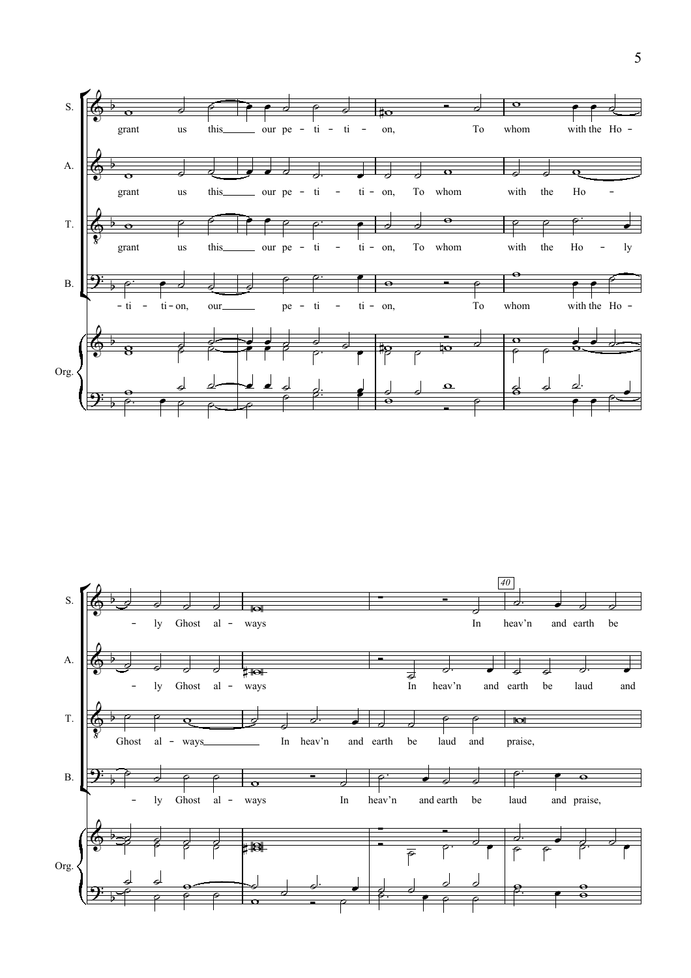